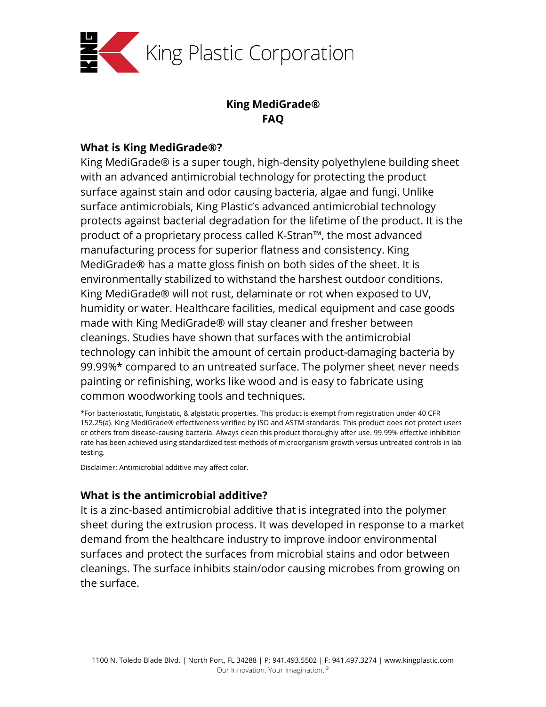

# **King MediGrade® FAQ**

## **What is King MediGrade®?**

King MediGrade® is a super tough, high-density polyethylene building sheet with an advanced antimicrobial technology for protecting the product surface against stain and odor causing bacteria, algae and fungi. Unlike surface antimicrobials, King Plastic's advanced antimicrobial technology protects against bacterial degradation for the lifetime of the product. It is the product of a proprietary process called K-Stran™, the most advanced manufacturing process for superior flatness and consistency. King MediGrade® has a matte gloss finish on both sides of the sheet. It is environmentally stabilized to withstand the harshest outdoor conditions. King MediGrade® will not rust, delaminate or rot when exposed to UV, humidity or water. Healthcare facilities, medical equipment and case goods made with King MediGrade® will stay cleaner and fresher between cleanings. Studies have shown that surfaces with the antimicrobial technology can inhibit the amount of certain product-damaging bacteria by 99.99%\* compared to an untreated surface. The polymer sheet never needs painting or refinishing, works like wood and is easy to fabricate using common woodworking tools and techniques.

\*For bacteriostatic, fungistatic, & algistatic properties. This product is exempt from registration under 40 CFR 152.25(a). King MediGrade® effectiveness verified by ISO and ASTM standards. This product does not protect users or others from disease-causing bacteria. Always clean this product thoroughly after use. 99.99% effective inhibition rate has been achieved using standardized test methods of microorganism growth versus untreated controls in lab testing.

Disclaimer: Antimicrobial additive may affect color.

# **What is the antimicrobial additive?**

It is a zinc-based antimicrobial additive that is integrated into the polymer sheet during the extrusion process. It was developed in response to a market demand from the healthcare industry to improve indoor environmental surfaces and protect the surfaces from microbial stains and odor between cleanings. The surface inhibits stain/odor causing microbes from growing on the surface.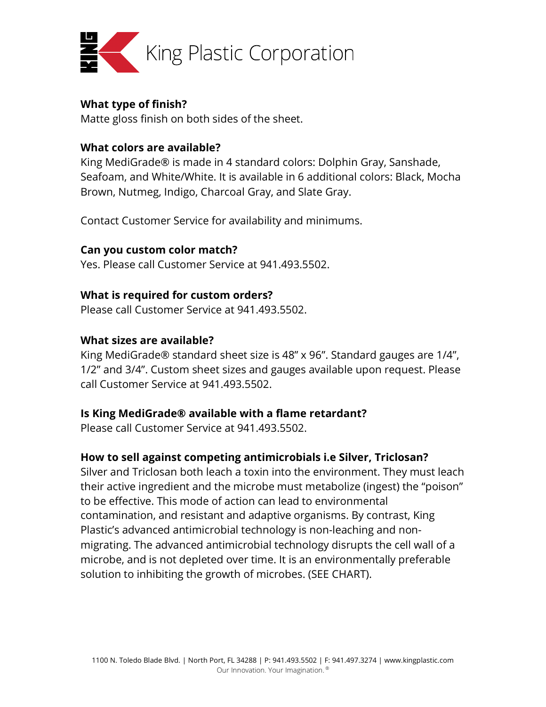

### **What type of finish?**

Matte gloss finish on both sides of the sheet.

### **What colors are available?**

King MediGrade® is made in 4 standard colors: Dolphin Gray, Sanshade, Seafoam, and White/White. It is available in 6 additional colors: Black, Mocha Brown, Nutmeg, Indigo, Charcoal Gray, and Slate Gray.

Contact Customer Service for availability and minimums.

### **Can you custom color match?**

Yes. Please call Customer Service at 941.493.5502.

### **What is required for custom orders?**

Please call Customer Service at 941.493.5502.

### **What sizes are available?**

King MediGrade® standard sheet size is 48" x 96". Standard gauges are 1/4", 1/2" and 3/4". Custom sheet sizes and gauges available upon request. Please call Customer Service at 941.493.5502.

#### **Is King MediGrade® available with a flame retardant?**

Please call Customer Service at 941.493.5502.

## **How to sell against competing antimicrobials i.e Silver, Triclosan?**

Silver and Triclosan both leach a toxin into the environment. They must leach their active ingredient and the microbe must metabolize (ingest) the "poison" to be effective. This mode of action can lead to environmental contamination, and resistant and adaptive organisms. By contrast, King Plastic's advanced antimicrobial technology is non-leaching and nonmigrating. The advanced antimicrobial technology disrupts the cell wall of a microbe, and is not depleted over time. It is an environmentally preferable solution to inhibiting the growth of microbes. (SEE CHART).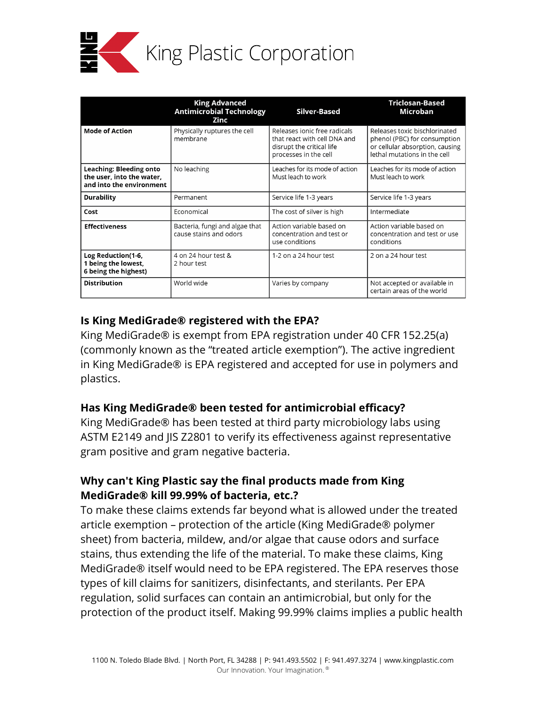

|                                                                                  | <b>King Advanced</b><br><b>Antimicrobial Technology</b><br><b>Zinc</b> | <b>Silver-Based</b>                                                                                                | Triclosan-Based<br><b>Microban</b>                                                                                               |
|----------------------------------------------------------------------------------|------------------------------------------------------------------------|--------------------------------------------------------------------------------------------------------------------|----------------------------------------------------------------------------------------------------------------------------------|
| <b>Mode of Action</b>                                                            | Physically ruptures the cell<br>membrane                               | Releases ionic free radicals<br>that react with cell DNA and<br>disrupt the critical life<br>processes in the cell | Releases toxic bischlorinated<br>phenol (PBC) for consumption<br>or cellular absorption, causing<br>lethal mutations in the cell |
| Leaching: Bleeding onto<br>the user, into the water,<br>and into the environment | No leaching                                                            | Leaches for its mode of action<br>Must leach to work                                                               | Leaches for its mode of action<br>Must leach to work                                                                             |
| <b>Durability</b>                                                                | Permanent                                                              | Service life 1-3 years                                                                                             | Service life 1-3 years                                                                                                           |
| Cost                                                                             | Economical                                                             | The cost of silver is high                                                                                         | Intermediate                                                                                                                     |
| <b>Effectiveness</b>                                                             | Bacteria, fungi and algae that<br>cause stains and odors               | Action variable based on<br>concentration and test or<br>use conditions                                            | Action variable based on<br>concentration and test or use<br>conditions                                                          |
| Log Reduction(1-6,<br>1 being the lowest,<br>6 being the highest)                | 4 on 24 hour test &<br>2 hour test                                     | 1-2 on a 24 hour test                                                                                              | 2 on a 24 hour test                                                                                                              |
| <b>Distribution</b>                                                              | World wide                                                             | Varies by company                                                                                                  | Not accepted or available in<br>certain areas of the world                                                                       |

## **Is King MediGrade® registered with the EPA?**

King MediGrade® is exempt from EPA registration under 40 CFR 152.25(a) (commonly known as the "treated article exemption"). The active ingredient in King MediGrade® is EPA registered and accepted for use in polymers and plastics.

# **Has King MediGrade® been tested for antimicrobial efficacy?**

King MediGrade® has been tested at third party microbiology labs using ASTM E2149 and JIS Z2801 to verify its effectiveness against representative gram positive and gram negative bacteria.

# **Why can't King Plastic say the final products made from King MediGrade® kill 99.99% of bacteria, etc.?**

To make these claims extends far beyond what is allowed under the treated article exemption – protection of the article (King MediGrade® polymer sheet) from bacteria, mildew, and/or algae that cause odors and surface stains, thus extending the life of the material. To make these claims, King MediGrade® itself would need to be EPA registered. The EPA reserves those types of kill claims for sanitizers, disinfectants, and sterilants. Per EPA regulation, solid surfaces can contain an antimicrobial, but only for the protection of the product itself. Making 99.99% claims implies a public health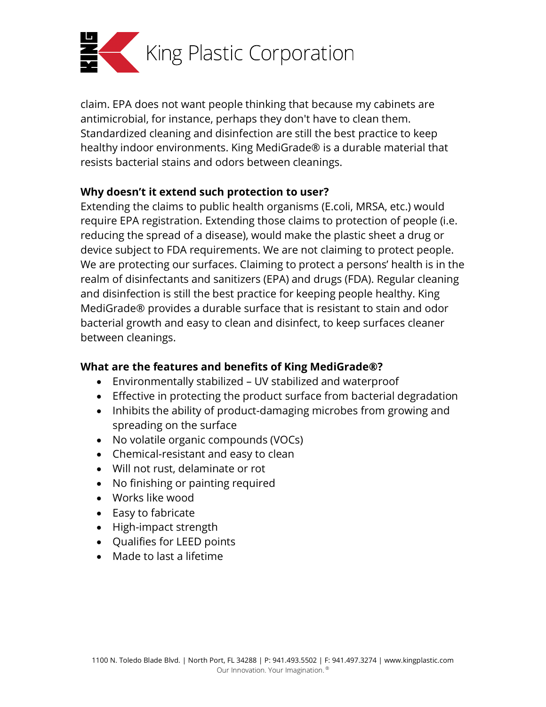

claim. EPA does not want people thinking that because my cabinets are antimicrobial, for instance, perhaps they don't have to clean them. Standardized cleaning and disinfection are still the best practice to keep healthy indoor environments. King MediGrade® is a durable material that resists bacterial stains and odors between cleanings.

## **Why doesn't it extend such protection to user?**

Extending the claims to public health organisms (E.coli, MRSA, etc.) would require EPA registration. Extending those claims to protection of people (i.e. reducing the spread of a disease), would make the plastic sheet a drug or device subject to FDA requirements. We are not claiming to protect people. We are protecting our surfaces. Claiming to protect a persons' health is in the realm of disinfectants and sanitizers (EPA) and drugs (FDA). Regular cleaning and disinfection is still the best practice for keeping people healthy. King MediGrade® provides a durable surface that is resistant to stain and odor bacterial growth and easy to clean and disinfect, to keep surfaces cleaner between cleanings.

## **What are the features and benefits of King MediGrade®?**

- Environmentally stabilized UV stabilized and waterproof
- Effective in protecting the product surface from bacterial degradation
- Inhibits the ability of product-damaging microbes from growing and spreading on the surface
- No volatile organic compounds (VOCs)
- Chemical-resistant and easy to clean
- Will not rust, delaminate or rot
- No finishing or painting required
- Works like wood
- Easy to fabricate
- High-impact strength
- Qualifies for LEED points
- Made to last a lifetime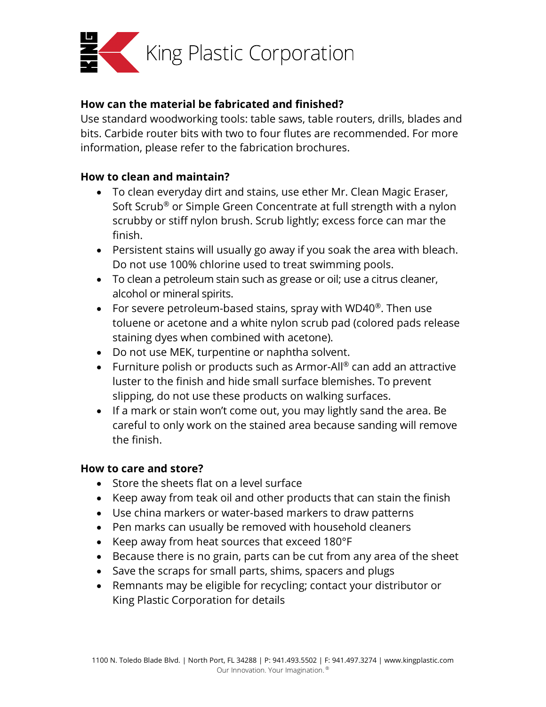

## **How can the material be fabricated and finished?**

Use standard woodworking tools: table saws, table routers, drills, blades and bits. Carbide router bits with two to four flutes are recommended. For more information, please refer to the fabrication brochures.

## **How to clean and maintain?**

- To clean everyday dirt and stains, use ether Mr. Clean Magic Eraser, Soft Scrub® or Simple Green Concentrate at full strength with a nylon scrubby or stiff nylon brush. Scrub lightly; excess force can mar the finish.
- Persistent stains will usually go away if you soak the area with bleach. Do not use 100% chlorine used to treat swimming pools.
- To clean a petroleum stain such as grease or oil; use a citrus cleaner, alcohol or mineral spirits.
- For severe petroleum-based stains, spray with WD40 $^{\circ}$ . Then use toluene or acetone and a white nylon scrub pad (colored pads release staining dyes when combined with acetone).
- Do not use MEK, turpentine or naphtha solvent.
- Furniture polish or products such as Armor-All® can add an attractive luster to the finish and hide small surface blemishes. To prevent slipping, do not use these products on walking surfaces.
- If a mark or stain won't come out, you may lightly sand the area. Be careful to only work on the stained area because sanding will remove the finish.

## **How to care and store?**

- Store the sheets flat on a level surface
- Keep away from teak oil and other products that can stain the finish
- Use china markers or water-based markers to draw patterns
- Pen marks can usually be removed with household cleaners
- Keep away from heat sources that exceed 180°F
- Because there is no grain, parts can be cut from any area of the sheet
- Save the scraps for small parts, shims, spacers and plugs
- Remnants may be eligible for recycling; contact your distributor or King Plastic Corporation for details